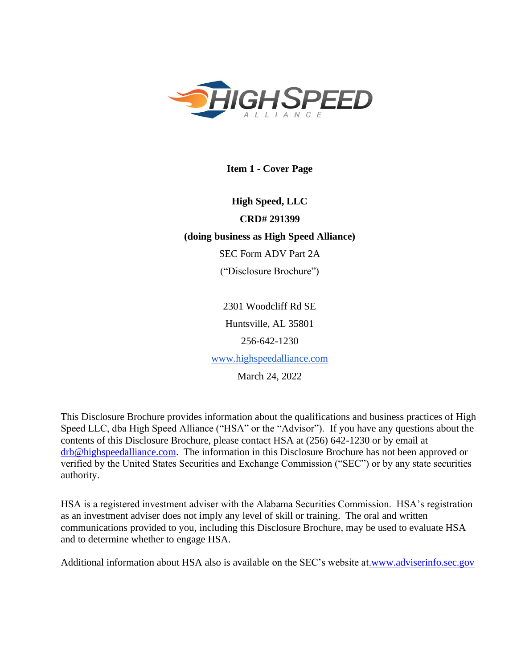<span id="page-0-0"></span>

**Item 1 - Cover Page**

**High Speed, LLC CRD# 291399 (doing business as High Speed Alliance)** SEC Form ADV Part 2A ("Disclosure Brochure")

> 2301 Woodcliff Rd SE Huntsville, AL 35801 256-642-1230 [www.highspeedalliance.com](http://www.highspeedalliance.com/)

March 24, 2022

This Disclosure Brochure provides information about the qualifications and business practices of High Speed LLC, dba High Speed Alliance ("HSA" or the "Advisor"). If you have any questions about the contents of this Disclosure Brochure, please contact HSA at (256) 642-1230 or by email at [drb@highspeedalliance.com.](mailto:drb@highspeedalliance.com) The information in this Disclosure Brochure has not been approved or verified by the United States Securities and Exchange Commission ("SEC") or by any state securities authority.

HSA is a registered investment adviser with the Alabama Securities Commission. HSA's registration as an investment adviser does not imply any level of skill or training. The oral and written communications provided to you, including this Disclosure Brochure, may be used to evaluate HSA and to determine whether to engage HSA.

Additional information about HSA also is available on the SEC's website at[.www.adviserinfo.sec.gov](http://www.adviserinfo.sec.gov/)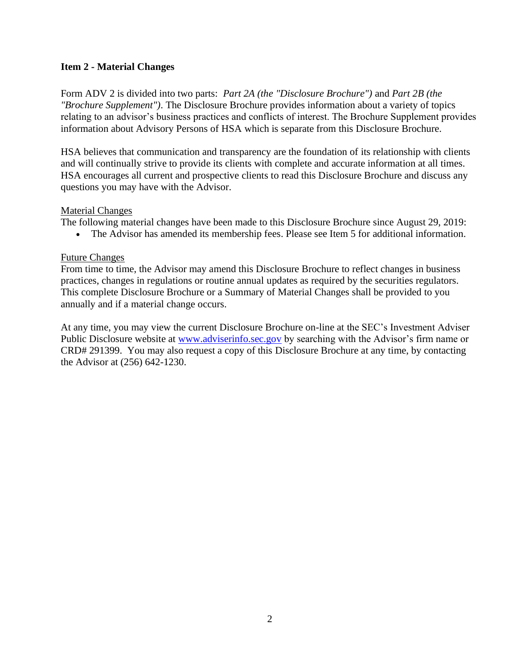## <span id="page-1-0"></span>**Item 2 - Material Changes**

Form ADV 2 is divided into two parts: *Part 2A (the "Disclosure Brochure")* and *Part 2B (the "Brochure Supplement")*. The Disclosure Brochure provides information about a variety of topics relating to an advisor's business practices and conflicts of interest. The Brochure Supplement provides information about Advisory Persons of HSA which is separate from this Disclosure Brochure.

HSA believes that communication and transparency are the foundation of its relationship with clients and will continually strive to provide its clients with complete and accurate information at all times. HSA encourages all current and prospective clients to read this Disclosure Brochure and discuss any questions you may have with the Advisor.

### Material Changes

The following material changes have been made to this Disclosure Brochure since August 29, 2019:

• The Advisor has amended its membership fees. Please see Item 5 for additional information.

## Future Changes

From time to time, the Advisor may amend this Disclosure Brochure to reflect changes in business practices, changes in regulations or routine annual updates as required by the securities regulators. This complete Disclosure Brochure or a Summary of Material Changes shall be provided to you annually and if a material change occurs.

At any time, you may view the current Disclosure Brochure on-line at the SEC's Investment Adviser Public Disclosure website at [www.adviserinfo.sec.gov](http://www.adviserinfo.sec.gov/) by searching with the Advisor's firm name or CRD# 291399. You may also request a copy of this Disclosure Brochure at any time, by contacting the Advisor at (256) 642-1230.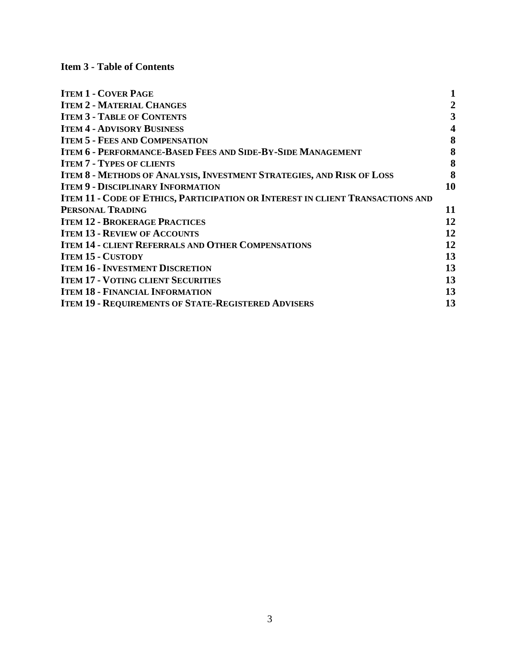<span id="page-2-0"></span>**Item 3 - Table of Contents** 

| <b>ITEM 1 - COVER PAGE</b>                                                            |                         |
|---------------------------------------------------------------------------------------|-------------------------|
| <b>ITEM 2 - MATERIAL CHANGES</b>                                                      | $\boldsymbol{2}$        |
| <b>ITEM 3 - TABLE OF CONTENTS</b>                                                     | 3                       |
| <b>ITEM 4 - ADVISORY BUSINESS</b>                                                     | $\overline{\mathbf{4}}$ |
| <b>ITEM 5 - FEES AND COMPENSATION</b>                                                 | 8                       |
| <b>ITEM 6 - PERFORMANCE-BASED FEES AND SIDE-BY-SIDE MANAGEMENT</b>                    | 8                       |
| <b>ITEM 7 - TYPES OF CLIENTS</b>                                                      | 8                       |
| <b>ITEM 8 - METHODS OF ANALYSIS, INVESTMENT STRATEGIES, AND RISK OF LOSS</b>          | 8                       |
| <b>ITEM 9 - DISCIPLINARY INFORMATION</b>                                              | 10                      |
| <b>ITEM 11 - CODE OF ETHICS, PARTICIPATION OR INTEREST IN CLIENT TRANSACTIONS AND</b> |                         |
| PERSONAL TRADING                                                                      | 11                      |
| <b>ITEM 12 - BROKERAGE PRACTICES</b>                                                  | 12                      |
| <b>ITEM 13 - REVIEW OF ACCOUNTS</b>                                                   | 12                      |
| <b>ITEM 14 - CLIENT REFERRALS AND OTHER COMPENSATIONS</b>                             | 12                      |
| <b>ITEM 15 - CUSTODY</b>                                                              | 13                      |
| <b>ITEM 16 - INVESTMENT DISCRETION</b>                                                | 13                      |
| <b>ITEM 17 - VOTING CLIENT SECURITIES</b>                                             | 13                      |
| <b>ITEM 18 - FINANCIAL INFORMATION</b>                                                | 13                      |
| <b>ITEM 19 - REQUIREMENTS OF STATE-REGISTERED ADVISERS</b>                            | 13                      |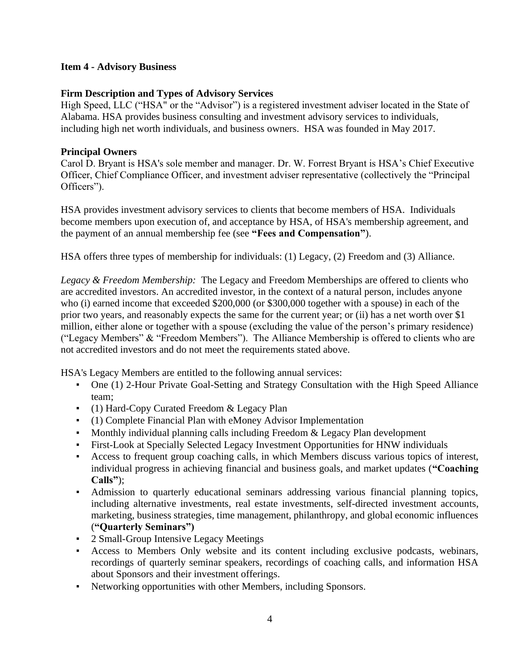## <span id="page-3-0"></span>**Item 4 - Advisory Business**

## **Firm Description and Types of Advisory Services**

High Speed, LLC ("HSA" or the "Advisor") is a registered investment adviser located in the State of Alabama. HSA provides business consulting and investment advisory services to individuals, including high net worth individuals, and business owners. HSA was founded in May 2017.

## **Principal Owners**

Carol D. Bryant is HSA's sole member and manager. Dr. W. Forrest Bryant is HSA's Chief Executive Officer, Chief Compliance Officer, and investment adviser representative (collectively the "Principal Officers").

HSA provides investment advisory services to clients that become members of HSA. Individuals become members upon execution of, and acceptance by HSA, of HSA's membership agreement, and the payment of an annual membership fee (see **"Fees and Compensation"**).

HSA offers three types of membership for individuals: (1) Legacy, (2) Freedom and (3) Alliance.

*Legacy & Freedom Membership:* The Legacy and Freedom Memberships are offered to clients who are accredited investors. An accredited investor, in the context of a natural person, includes anyone who (i) earned income that exceeded \$200,000 (or \$300,000 together with a spouse) in each of the prior two years, and reasonably expects the same for the current year; or (ii) has a net worth over \$1 million, either alone or together with a spouse (excluding the value of the person's primary residence) ("Legacy Members" & "Freedom Members"). The Alliance Membership is offered to clients who are not accredited investors and do not meet the requirements stated above.

HSA's Legacy Members are entitled to the following annual services:

- One (1) 2-Hour Private Goal-Setting and Strategy Consultation with the High Speed Alliance team;
- (1) Hard-Copy Curated Freedom & Legacy Plan
- (1) Complete Financial Plan with eMoney Advisor Implementation
- Monthly individual planning calls including Freedom & Legacy Plan development
- First-Look at Specially Selected Legacy Investment Opportunities for HNW individuals
- Access to frequent group coaching calls, in which Members discuss various topics of interest, individual progress in achieving financial and business goals, and market updates (**"Coaching Calls"**);
- Admission to quarterly educational seminars addressing various financial planning topics, including alternative investments, real estate investments, self-directed investment accounts, marketing, business strategies, time management, philanthropy, and global economic influences (**"Quarterly Seminars")**
- 2 Small-Group Intensive Legacy Meetings
- Access to Members Only website and its content including exclusive podcasts, webinars, recordings of quarterly seminar speakers, recordings of coaching calls, and information HSA about Sponsors and their investment offerings.
- Networking opportunities with other Members, including Sponsors.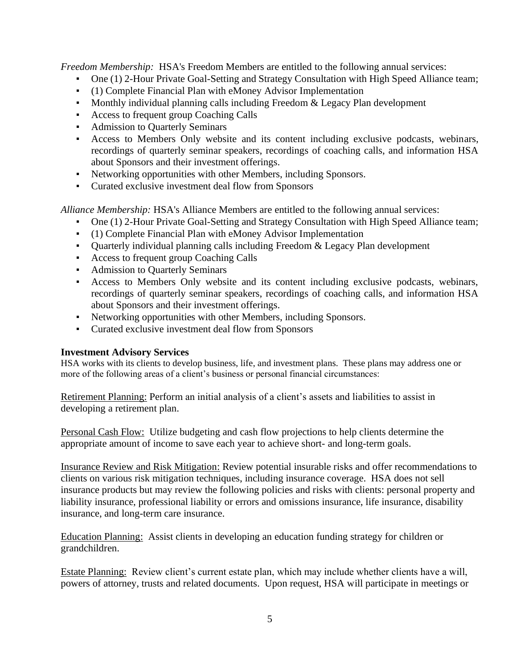*Freedom Membership:* HSA's Freedom Members are entitled to the following annual services:

- One (1) 2-Hour Private Goal-Setting and Strategy Consultation with High Speed Alliance team;
- (1) Complete Financial Plan with eMoney Advisor Implementation
- Monthly individual planning calls including Freedom & Legacy Plan development
- Access to frequent group Coaching Calls
- Admission to Quarterly Seminars
- Access to Members Only website and its content including exclusive podcasts, webinars, recordings of quarterly seminar speakers, recordings of coaching calls, and information HSA about Sponsors and their investment offerings.
- Networking opportunities with other Members, including Sponsors.
- Curated exclusive investment deal flow from Sponsors

*Alliance Membership:* HSA's Alliance Members are entitled to the following annual services:

- One (1) 2-Hour Private Goal-Setting and Strategy Consultation with High Speed Alliance team;
- (1) Complete Financial Plan with eMoney Advisor Implementation
- Quarterly individual planning calls including Freedom & Legacy Plan development
- Access to frequent group Coaching Calls
- Admission to Quarterly Seminars
- Access to Members Only website and its content including exclusive podcasts, webinars, recordings of quarterly seminar speakers, recordings of coaching calls, and information HSA about Sponsors and their investment offerings.
- Networking opportunities with other Members, including Sponsors.
- Curated exclusive investment deal flow from Sponsors

### **Investment Advisory Services**

HSA works with its clients to develop business, life, and investment plans. These plans may address one or more of the following areas of a client's business or personal financial circumstances:

Retirement Planning: Perform an initial analysis of a client's assets and liabilities to assist in developing a retirement plan.

Personal Cash Flow: Utilize budgeting and cash flow projections to help clients determine the appropriate amount of income to save each year to achieve short- and long-term goals.

Insurance Review and Risk Mitigation: Review potential insurable risks and offer recommendations to clients on various risk mitigation techniques, including insurance coverage. HSA does not sell insurance products but may review the following policies and risks with clients: personal property and liability insurance, professional liability or errors and omissions insurance, life insurance, disability insurance, and long-term care insurance.

Education Planning: Assist clients in developing an education funding strategy for children or grandchildren.

Estate Planning: Review client's current estate plan, which may include whether clients have a will, powers of attorney, trusts and related documents. Upon request, HSA will participate in meetings or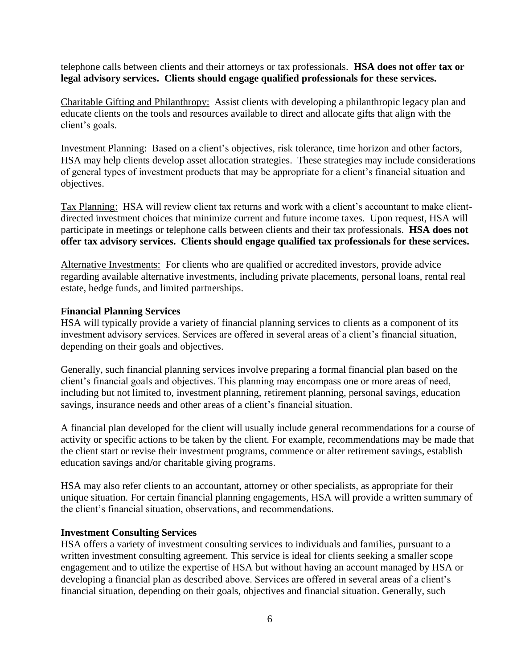telephone calls between clients and their attorneys or tax professionals. **HSA does not offer tax or legal advisory services. Clients should engage qualified professionals for these services.** 

Charitable Gifting and Philanthropy: Assist clients with developing a philanthropic legacy plan and educate clients on the tools and resources available to direct and allocate gifts that align with the client's goals.

Investment Planning: Based on a client's objectives, risk tolerance, time horizon and other factors, HSA may help clients develop asset allocation strategies. These strategies may include considerations of general types of investment products that may be appropriate for a client's financial situation and objectives.

Tax Planning: HSA will review client tax returns and work with a client's accountant to make clientdirected investment choices that minimize current and future income taxes. Upon request, HSA will participate in meetings or telephone calls between clients and their tax professionals. **HSA does not offer tax advisory services. Clients should engage qualified tax professionals for these services.**

Alternative Investments: For clients who are qualified or accredited investors, provide advice regarding available alternative investments, including private placements, personal loans, rental real estate, hedge funds, and limited partnerships.

### **Financial Planning Services**

HSA will typically provide a variety of financial planning services to clients as a component of its investment advisory services. Services are offered in several areas of a client's financial situation, depending on their goals and objectives.

Generally, such financial planning services involve preparing a formal financial plan based on the client's financial goals and objectives. This planning may encompass one or more areas of need, including but not limited to, investment planning, retirement planning, personal savings, education savings, insurance needs and other areas of a client's financial situation.

A financial plan developed for the client will usually include general recommendations for a course of activity or specific actions to be taken by the client. For example, recommendations may be made that the client start or revise their investment programs, commence or alter retirement savings, establish education savings and/or charitable giving programs.

HSA may also refer clients to an accountant, attorney or other specialists, as appropriate for their unique situation. For certain financial planning engagements, HSA will provide a written summary of the client's financial situation, observations, and recommendations.

### **Investment Consulting Services**

HSA offers a variety of investment consulting services to individuals and families, pursuant to a written investment consulting agreement. This service is ideal for clients seeking a smaller scope engagement and to utilize the expertise of HSA but without having an account managed by HSA or developing a financial plan as described above. Services are offered in several areas of a client's financial situation, depending on their goals, objectives and financial situation. Generally, such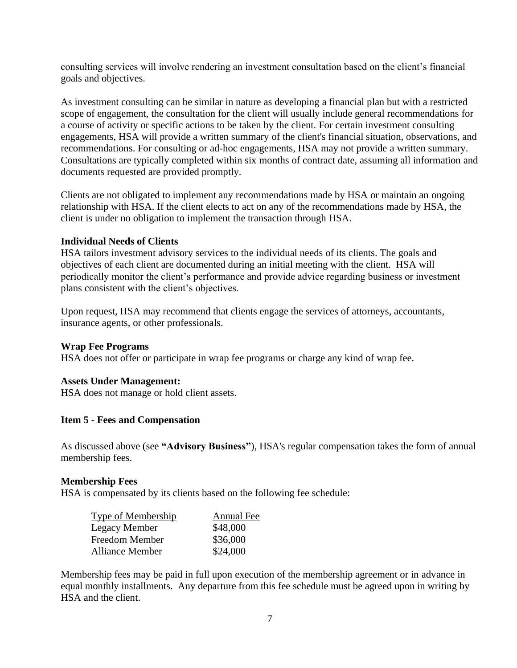consulting services will involve rendering an investment consultation based on the client's financial goals and objectives.

As investment consulting can be similar in nature as developing a financial plan but with a restricted scope of engagement, the consultation for the client will usually include general recommendations for a course of activity or specific actions to be taken by the client. For certain investment consulting engagements, HSA will provide a written summary of the client's financial situation, observations, and recommendations. For consulting or ad-hoc engagements, HSA may not provide a written summary. Consultations are typically completed within six months of contract date, assuming all information and documents requested are provided promptly.

Clients are not obligated to implement any recommendations made by HSA or maintain an ongoing relationship with HSA. If the client elects to act on any of the recommendations made by HSA, the client is under no obligation to implement the transaction through HSA.

### **Individual Needs of Clients**

HSA tailors investment advisory services to the individual needs of its clients. The goals and objectives of each client are documented during an initial meeting with the client. HSA will periodically monitor the client's performance and provide advice regarding business or investment plans consistent with the client's objectives.

Upon request, HSA may recommend that clients engage the services of attorneys, accountants, insurance agents, or other professionals.

# **Wrap Fee Programs**

HSA does not offer or participate in wrap fee programs or charge any kind of wrap fee.

### **Assets Under Management:**

<span id="page-6-0"></span>HSA does not manage or hold client assets.

### **Item 5 - Fees and Compensation**

As discussed above (see **"Advisory Business"**), HSA's regular compensation takes the form of annual membership fees.

### **Membership Fees**

HSA is compensated by its clients based on the following fee schedule:

| Type of Membership     | Annual Fee |
|------------------------|------------|
| Legacy Member          | \$48,000   |
| Freedom Member         | \$36,000   |
| <b>Alliance Member</b> | \$24,000   |

Membership fees may be paid in full upon execution of the membership agreement or in advance in equal monthly installments. Any departure from this fee schedule must be agreed upon in writing by HSA and the client.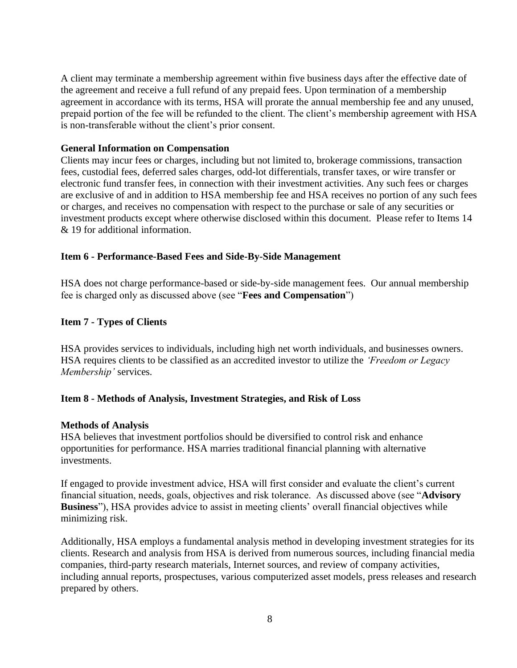A client may terminate a membership agreement within five business days after the effective date of the agreement and receive a full refund of any prepaid fees. Upon termination of a membership agreement in accordance with its terms, HSA will prorate the annual membership fee and any unused, prepaid portion of the fee will be refunded to the client. The client's membership agreement with HSA is non-transferable without the client's prior consent.

#### **General Information on Compensation**

Clients may incur fees or charges, including but not limited to, brokerage commissions, transaction fees, custodial fees, deferred sales charges, odd-lot differentials, transfer taxes, or wire transfer or electronic fund transfer fees, in connection with their investment activities. Any such fees or charges are exclusive of and in addition to HSA membership fee and HSA receives no portion of any such fees or charges, and receives no compensation with respect to the purchase or sale of any securities or investment products except where otherwise disclosed within this document. Please refer to Items 14 & 19 for additional information.

#### <span id="page-7-0"></span>**Item 6 - Performance-Based Fees and Side-By-Side Management**

HSA does not charge performance-based or side-by-side management fees. Our annual membership fee is charged only as discussed above (see "**Fees and Compensation**")

#### <span id="page-7-1"></span>**Item 7 - Types of Clients**

HSA provides services to individuals, including high net worth individuals, and businesses owners. HSA requires clients to be classified as an accredited investor to utilize the *'Freedom or Legacy Membership'* services*.*

#### <span id="page-7-2"></span>**Item 8 - Methods of Analysis, Investment Strategies, and Risk of Loss**

#### **Methods of Analysis**

HSA believes that investment portfolios should be diversified to control risk and enhance opportunities for performance. HSA marries traditional financial planning with alternative investments.

If engaged to provide investment advice, HSA will first consider and evaluate the client's current financial situation, needs, goals, objectives and risk tolerance. As discussed above (see "**Advisory Business**"), HSA provides advice to assist in meeting clients' overall financial objectives while minimizing risk.

Additionally, HSA employs a fundamental analysis method in developing investment strategies for its clients. Research and analysis from HSA is derived from numerous sources, including financial media companies, third-party research materials, Internet sources, and review of company activities, including annual reports, prospectuses, various computerized asset models, press releases and research prepared by others.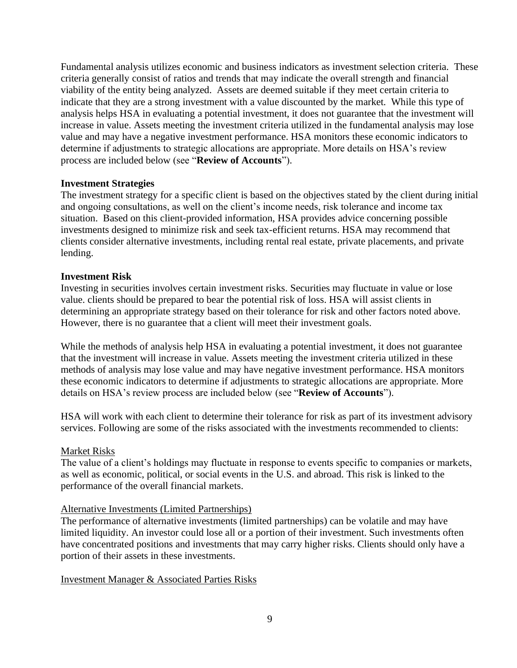Fundamental analysis utilizes economic and business indicators as investment selection criteria. These criteria generally consist of ratios and trends that may indicate the overall strength and financial viability of the entity being analyzed. Assets are deemed suitable if they meet certain criteria to indicate that they are a strong investment with a value discounted by the market. While this type of analysis helps HSA in evaluating a potential investment, it does not guarantee that the investment will increase in value. Assets meeting the investment criteria utilized in the fundamental analysis may lose value and may have a negative investment performance. HSA monitors these economic indicators to determine if adjustments to strategic allocations are appropriate. More details on HSA's review process are included below (see "**Review of Accounts**").

#### **Investment Strategies**

The investment strategy for a specific client is based on the objectives stated by the client during initial and ongoing consultations, as well on the client's income needs, risk tolerance and income tax situation. Based on this client-provided information, HSA provides advice concerning possible investments designed to minimize risk and seek tax-efficient returns. HSA may recommend that clients consider alternative investments, including rental real estate, private placements, and private lending.

#### **Investment Risk**

Investing in securities involves certain investment risks. Securities may fluctuate in value or lose value. clients should be prepared to bear the potential risk of loss. HSA will assist clients in determining an appropriate strategy based on their tolerance for risk and other factors noted above. However, there is no guarantee that a client will meet their investment goals.

While the methods of analysis help HSA in evaluating a potential investment, it does not guarantee that the investment will increase in value. Assets meeting the investment criteria utilized in these methods of analysis may lose value and may have negative investment performance. HSA monitors these economic indicators to determine if adjustments to strategic allocations are appropriate. More details on HSA's review process are included below (see "**Review of Accounts**").

HSA will work with each client to determine their tolerance for risk as part of its investment advisory services. Following are some of the risks associated with the investments recommended to clients:

#### Market Risks

The value of a client's holdings may fluctuate in response to events specific to companies or markets, as well as economic, political, or social events in the U.S. and abroad. This risk is linked to the performance of the overall financial markets.

#### Alternative Investments (Limited Partnerships)

The performance of alternative investments (limited partnerships) can be volatile and may have limited liquidity. An investor could lose all or a portion of their investment. Such investments often have concentrated positions and investments that may carry higher risks. Clients should only have a portion of their assets in these investments.

Investment Manager & Associated Parties Risks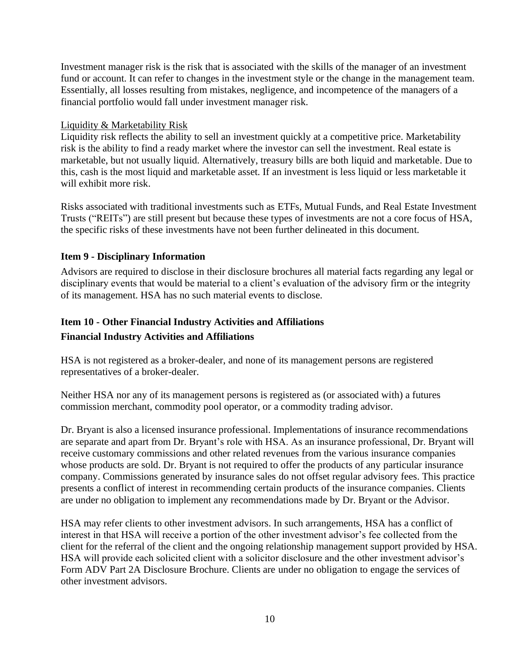Investment manager risk is the risk that is associated with the skills of the manager of an investment fund or account. It can refer to changes in the investment style or the change in the management team. Essentially, all losses resulting from mistakes, negligence, and incompetence of the managers of a financial portfolio would fall under investment manager risk.

### Liquidity & Marketability Risk

Liquidity risk reflects the ability to sell an investment quickly at a competitive price. Marketability risk is the ability to find a ready market where the investor can sell the investment. Real estate is marketable, but not usually liquid. Alternatively, treasury bills are both liquid and marketable. Due to this, cash is the most liquid and marketable asset. If an investment is less liquid or less marketable it will exhibit more risk.

Risks associated with traditional investments such as ETFs, Mutual Funds, and Real Estate Investment Trusts ("REITs") are still present but because these types of investments are not a core focus of HSA, the specific risks of these investments have not been further delineated in this document.

### <span id="page-9-0"></span>**Item 9 - Disciplinary Information**

Advisors are required to disclose in their disclosure brochures all material facts regarding any legal or disciplinary events that would be material to a client's evaluation of the advisory firm or the integrity of its management. HSA has no such material events to disclose.

# **Item 10 - Other Financial Industry Activities and Affiliations Financial Industry Activities and Affiliations**

HSA is not registered as a broker-dealer, and none of its management persons are registered representatives of a broker-dealer.

Neither HSA nor any of its management persons is registered as (or associated with) a futures commission merchant, commodity pool operator, or a commodity trading advisor.

Dr. Bryant is also a licensed insurance professional. Implementations of insurance recommendations are separate and apart from Dr. Bryant's role with HSA. As an insurance professional, Dr. Bryant will receive customary commissions and other related revenues from the various insurance companies whose products are sold. Dr. Bryant is not required to offer the products of any particular insurance company. Commissions generated by insurance sales do not offset regular advisory fees. This practice presents a conflict of interest in recommending certain products of the insurance companies. Clients are under no obligation to implement any recommendations made by Dr. Bryant or the Advisor.

HSA may refer clients to other investment advisors. In such arrangements, HSA has a conflict of interest in that HSA will receive a portion of the other investment advisor's fee collected from the client for the referral of the client and the ongoing relationship management support provided by HSA. HSA will provide each solicited client with a solicitor disclosure and the other investment advisor's Form ADV Part 2A Disclosure Brochure. Clients are under no obligation to engage the services of other investment advisors.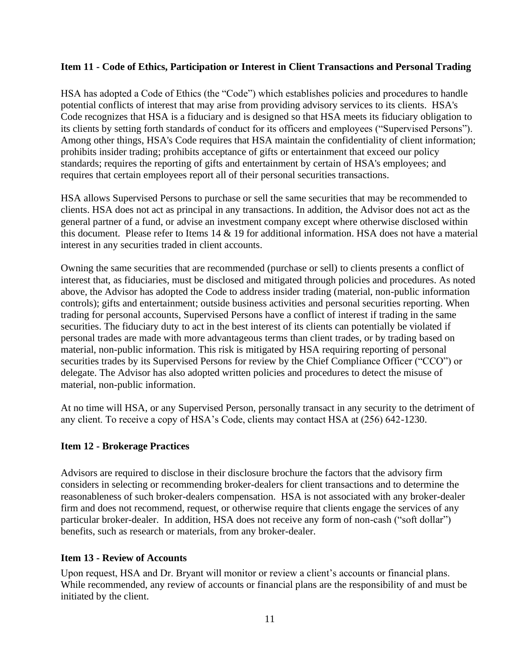## <span id="page-10-0"></span>**Item 11 - Code of Ethics, Participation or Interest in Client Transactions and Personal Trading**

HSA has adopted a Code of Ethics (the "Code") which establishes policies and procedures to handle potential conflicts of interest that may arise from providing advisory services to its clients. HSA's Code recognizes that HSA is a fiduciary and is designed so that HSA meets its fiduciary obligation to its clients by setting forth standards of conduct for its officers and employees ("Supervised Persons"). Among other things, HSA's Code requires that HSA maintain the confidentiality of client information; prohibits insider trading; prohibits acceptance of gifts or entertainment that exceed our policy standards; requires the reporting of gifts and entertainment by certain of HSA's employees; and requires that certain employees report all of their personal securities transactions.

HSA allows Supervised Persons to purchase or sell the same securities that may be recommended to clients. HSA does not act as principal in any transactions. In addition, the Advisor does not act as the general partner of a fund, or advise an investment company except where otherwise disclosed within this document. Please refer to Items 14 & 19 for additional information. HSA does not have a material interest in any securities traded in client accounts.

Owning the same securities that are recommended (purchase or sell) to clients presents a conflict of interest that, as fiduciaries, must be disclosed and mitigated through policies and procedures. As noted above, the Advisor has adopted the Code to address insider trading (material, non-public information controls); gifts and entertainment; outside business activities and personal securities reporting. When trading for personal accounts, Supervised Persons have a conflict of interest if trading in the same securities. The fiduciary duty to act in the best interest of its clients can potentially be violated if personal trades are made with more advantageous terms than client trades, or by trading based on material, non-public information. This risk is mitigated by HSA requiring reporting of personal securities trades by its Supervised Persons for review by the Chief Compliance Officer ("CCO") or delegate. The Advisor has also adopted written policies and procedures to detect the misuse of material, non-public information.

At no time will HSA, or any Supervised Person, personally transact in any security to the detriment of any client. To receive a copy of HSA's Code, clients may contact HSA at (256) 642-1230.

### <span id="page-10-1"></span>**Item 12 - Brokerage Practices**

Advisors are required to disclose in their disclosure brochure the factors that the advisory firm considers in selecting or recommending broker-dealers for client transactions and to determine the reasonableness of such broker-dealers compensation. HSA is not associated with any broker-dealer firm and does not recommend, request, or otherwise require that clients engage the services of any particular broker-dealer. In addition, HSA does not receive any form of non-cash ("soft dollar") benefits, such as research or materials, from any broker-dealer.

### <span id="page-10-2"></span>**Item 13 - Review of Accounts**

Upon request, HSA and Dr. Bryant will monitor or review a client's accounts or financial plans. While recommended, any review of accounts or financial plans are the responsibility of and must be initiated by the client.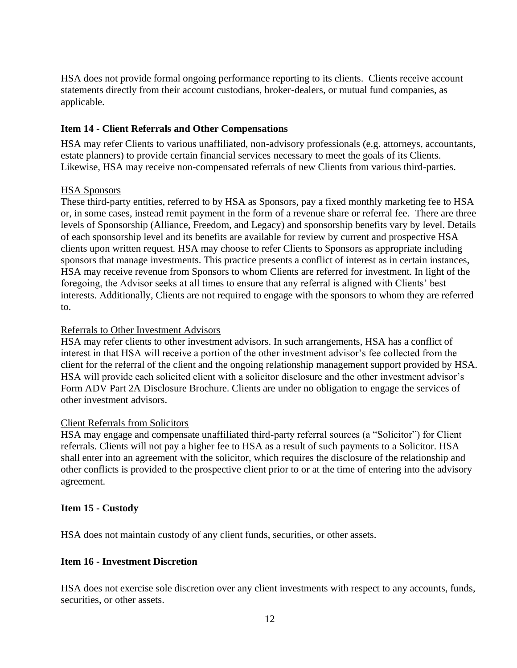HSA does not provide formal ongoing performance reporting to its clients. Clients receive account statements directly from their account custodians, broker-dealers, or mutual fund companies, as applicable.

## <span id="page-11-0"></span>**Item 14 - Client Referrals and Other Compensations**

HSA may refer Clients to various unaffiliated, non-advisory professionals (e.g. attorneys, accountants, estate planners) to provide certain financial services necessary to meet the goals of its Clients. Likewise, HSA may receive non-compensated referrals of new Clients from various third-parties.

### HSA Sponsors

These third-party entities, referred to by HSA as Sponsors, pay a fixed monthly marketing fee to HSA or, in some cases, instead remit payment in the form of a revenue share or referral fee. There are three levels of Sponsorship (Alliance, Freedom, and Legacy) and sponsorship benefits vary by level. Details of each sponsorship level and its benefits are available for review by current and prospective HSA clients upon written request. HSA may choose to refer Clients to Sponsors as appropriate including sponsors that manage investments. This practice presents a conflict of interest as in certain instances, HSA may receive revenue from Sponsors to whom Clients are referred for investment. In light of the foregoing, the Advisor seeks at all times to ensure that any referral is aligned with Clients' best interests. Additionally, Clients are not required to engage with the sponsors to whom they are referred to.

#### Referrals to Other Investment Advisors

HSA may refer clients to other investment advisors. In such arrangements, HSA has a conflict of interest in that HSA will receive a portion of the other investment advisor's fee collected from the client for the referral of the client and the ongoing relationship management support provided by HSA. HSA will provide each solicited client with a solicitor disclosure and the other investment advisor's Form ADV Part 2A Disclosure Brochure. Clients are under no obligation to engage the services of other investment advisors.

### Client Referrals from Solicitors

HSA may engage and compensate unaffiliated third-party referral sources (a "Solicitor") for Client referrals. Clients will not pay a higher fee to HSA as a result of such payments to a Solicitor. HSA shall enter into an agreement with the solicitor, which requires the disclosure of the relationship and other conflicts is provided to the prospective client prior to or at the time of entering into the advisory agreement.

### <span id="page-11-1"></span>**Item 15 - Custody**

<span id="page-11-2"></span>HSA does not maintain custody of any client funds, securities, or other assets.

## **Item 16 - Investment Discretion**

HSA does not exercise sole discretion over any client investments with respect to any accounts, funds, securities, or other assets.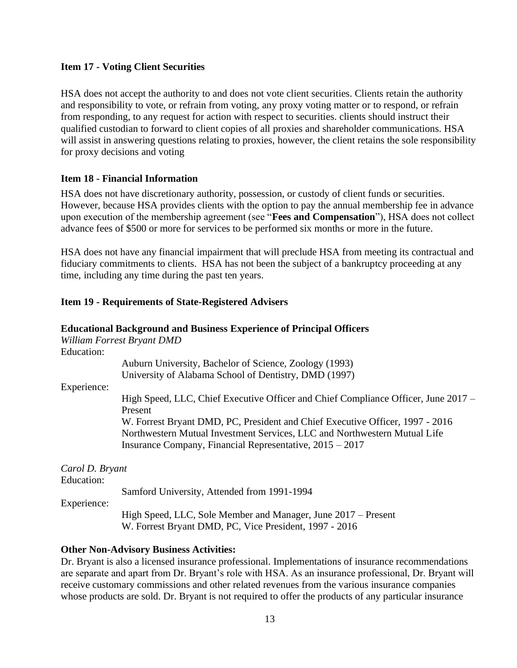## <span id="page-12-0"></span>**Item 17 - Voting Client Securities**

HSA does not accept the authority to and does not vote client securities. Clients retain the authority and responsibility to vote, or refrain from voting, any proxy voting matter or to respond, or refrain from responding, to any request for action with respect to securities. clients should instruct their qualified custodian to forward to client copies of all proxies and shareholder communications. HSA will assist in answering questions relating to proxies, however, the client retains the sole responsibility for proxy decisions and voting

## <span id="page-12-1"></span>**Item 18 - Financial Information**

HSA does not have discretionary authority, possession, or custody of client funds or securities. However, because HSA provides clients with the option to pay the annual membership fee in advance upon execution of the membership agreement (see "**Fees and Compensation**"), HSA does not collect advance fees of \$500 or more for services to be performed six months or more in the future.

HSA does not have any financial impairment that will preclude HSA from meeting its contractual and fiduciary commitments to clients. HSA has not been the subject of a bankruptcy proceeding at any time, including any time during the past ten years.

# <span id="page-12-2"></span>**Item 19 - Requirements of State-Registered Advisers**

|                               | <b>Educational Background and Business Experience of Principal Officers</b>                                                                                                                                              |
|-------------------------------|--------------------------------------------------------------------------------------------------------------------------------------------------------------------------------------------------------------------------|
|                               | William Forrest Bryant DMD                                                                                                                                                                                               |
| Education:                    |                                                                                                                                                                                                                          |
|                               | Auburn University, Bachelor of Science, Zoology (1993)<br>University of Alabama School of Dentistry, DMD (1997)                                                                                                          |
| Experience:                   |                                                                                                                                                                                                                          |
|                               | High Speed, LLC, Chief Executive Officer and Chief Compliance Officer, June 2017 –<br>Present                                                                                                                            |
|                               | W. Forrest Bryant DMD, PC, President and Chief Executive Officer, 1997 - 2016<br>Northwestern Mutual Investment Services, LLC and Northwestern Mutual Life<br>Insurance Company, Financial Representative, $2015 - 2017$ |
| Carol D. Bryant<br>Education: |                                                                                                                                                                                                                          |
|                               | Samford University, Attended from 1991-1994                                                                                                                                                                              |
| Experience:                   |                                                                                                                                                                                                                          |
|                               | High Speed, LLC, Sole Member and Manager, June 2017 – Present<br>W. Forrest Bryant DMD, PC, Vice President, 1997 - 2016                                                                                                  |

### **Other Non-Advisory Business Activities:**

Dr. Bryant is also a licensed insurance professional. Implementations of insurance recommendations are separate and apart from Dr. Bryant's role with HSA. As an insurance professional, Dr. Bryant will receive customary commissions and other related revenues from the various insurance companies whose products are sold. Dr. Bryant is not required to offer the products of any particular insurance